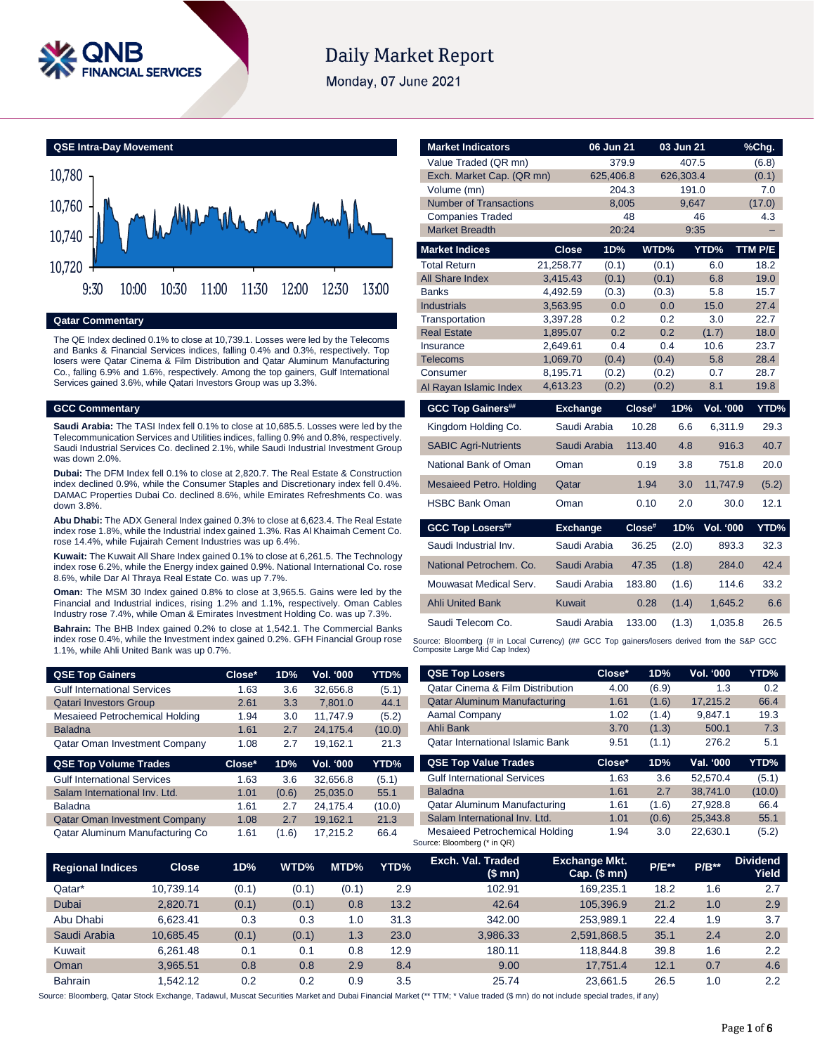

# **Daily Market Report**

Monday, 07 June 2021

## **QSE Intra-Day Movement**



#### **Qatar Commentary**

The QE Index declined 0.1% to close at 10,739.1. Losses were led by the Telecoms and Banks & Financial Services indices, falling 0.4% and 0.3%, respectively. Top losers were Qatar Cinema & Film Distribution and Qatar Aluminum Manufacturing Co., falling 6.9% and 1.6%, respectively. Among the top gainers, Gulf International Services gained 3.6%, while Qatari Investors Group was up 3.3%.

#### **GCC Commentary**

**Saudi Arabia:** The TASI Index fell 0.1% to close at 10,685.5. Losses were led by the Telecommunication Services and Utilities indices, falling 0.9% and 0.8%, respectively. Saudi Industrial Services Co. declined 2.1%, while Saudi Industrial Investment Group was down 2.0%.

**Dubai:** The DFM Index fell 0.1% to close at 2,820.7. The Real Estate & Construction index declined 0.9%, while the Consumer Staples and Discretionary index fell 0.4%. DAMAC Properties Dubai Co. declined 8.6%, while Emirates Refreshments Co. was down 3.8%.

**Abu Dhabi:** The ADX General Index gained 0.3% to close at 6,623.4. The Real Estate index rose 1.8%, while the Industrial index gained 1.3%. Ras Al Khaimah Cement Co. rose 14.4%, while Fujairah Cement Industries was up 6.4%.

**Kuwait:** The Kuwait All Share Index gained 0.1% to close at 6,261.5. The Technology index rose 6.2%, while the Energy index gained 0.9%. National International Co. rose 8.6%, while Dar Al Thraya Real Estate Co. was up 7.7%.

**Oman:** The MSM 30 Index gained 0.8% to close at 3,965.5. Gains were led by the Financial and Industrial indices, rising 1.2% and 1.1%, respectively. Oman Cables Industry rose 7.4%, while Oman & Emirates Investment Holding Co. was up 7.3%.

**Bahrain:** The BHB Index gained 0.2% to close at 1,542.1. The Commercial Banks index rose 0.4%, while the Investment index gained 0.2%. GFH Financial Group rose 1.1%, while Ahli United Bank was up 0.7%.

| <b>QSE Top Gainers</b>               | $Close*$ | 1D% | <b>Vol. '000</b> | YTD%   |
|--------------------------------------|----------|-----|------------------|--------|
| <b>Gulf International Services</b>   | 1.63     | 3.6 | 32.656.8         | (5.1)  |
| <b>Qatari Investors Group</b>        | 2.61     | 3.3 | 7.801.0          | 44.1   |
| Mesaieed Petrochemical Holding       | 1.94     | 3.0 | 11.747.9         | (5.2)  |
| <b>Baladna</b>                       | 1.61     | 2.7 | 24.175.4         | (10.0) |
| <b>Qatar Oman Investment Company</b> | 1.08     | 27  | 19.162.1         | 21.3   |

| <b>QSE Top Volume Trades</b>         | $Close^*$ | 1D%   | <b>Vol. '000</b> | YTD%   |
|--------------------------------------|-----------|-------|------------------|--------|
| <b>Gulf International Services</b>   | 1.63      | 3.6   | 32.656.8         | (5.1)  |
| Salam International Inv. Ltd.        | 1.01      | (0.6) | 25.035.0         | 55.1   |
| <b>Baladna</b>                       | 1.61      | 2.7   | 24.175.4         | (10.0) |
| <b>Qatar Oman Investment Company</b> | 1.08      | 2.7   | 19.162.1         | 21.3   |
| Qatar Aluminum Manufacturing Co      | 1.61      | (1.6) | 17.215.2         | 66.4   |

| <b>Market Indicators</b>       |                      | 06 Jun 21    |        | $03$ Jun $21$ |                  | %Chg.        |
|--------------------------------|----------------------|--------------|--------|---------------|------------------|--------------|
| Value Traded (QR mn)           |                      |              | 379.9  | 407.5         |                  | (6.8)        |
| Exch. Market Cap. (QR mn)      |                      | 625,406.8    |        | 626,303.4     |                  | (0.1)        |
| Volume (mn)                    |                      |              | 204.3  | 191.0         |                  | 7.0          |
| <b>Number of Transactions</b>  |                      |              | 8,005  | 9,647         |                  | (17.0)       |
| <b>Companies Traded</b>        |                      |              | 48     |               | 46               | 4.3          |
| <b>Market Breadth</b>          |                      |              | 20:24  | 9:35          |                  |              |
| <b>Market Indices</b>          | <b>Close</b>         | 1D%          |        | WTD%          | YTD%             | TTM P/E      |
| <b>Total Return</b>            | 21,258.77            | (0.1)        |        | (0.1)         | 6.0              | 18.2         |
| All Share Index                | 3,415.43             | (0.1)        |        | (0.1)         | 6.8              | 19.0         |
| <b>Banks</b>                   | 4.492.59             | (0.3)        |        | (0.3)         | 5.8              | 15.7         |
| <b>Industrials</b>             | 3,563.95             | 0.0          |        | 0.0           | 15.0             | 27.4         |
| Transportation                 | 3,397.28             | 0.2          |        | 0.2           | 3.0              | 22.7         |
| <b>Real Estate</b>             | 1,895.07             | 0.2          |        | 0.2           | (1.7)            | 18.0         |
| Insurance<br><b>Telecoms</b>   | 2,649.61<br>1,069.70 | 0.4<br>(0.4) |        | 0.4<br>(0.4)  | 10.6<br>5.8      | 23.7<br>28.4 |
| Consumer                       | 8,195.71             | (0.2)        |        | (0.2)         | 0.7              | 28.7         |
| Al Rayan Islamic Index         | 4,613.23             | (0.2)        |        | (0.2)         | 8.1              | 19.8         |
|                                |                      |              |        |               |                  |              |
| <b>GCC Top Gainers##</b>       | <b>Exchange</b>      |              | Close# | 1D%           | <b>Vol. '000</b> | YTD%         |
| Kingdom Holding Co.            | Saudi Arabia         |              | 10.28  | 6.6           | 6,311.9          | 29.3         |
| <b>SABIC Agri-Nutrients</b>    | Saudi Arabia         |              | 113.40 | 4.8           | 916.3            | 40.7         |
| National Bank of Oman          | Oman                 |              | 0.19   | 3.8           | 751.8            | 20.0         |
| <b>Mesaieed Petro. Holding</b> | Qatar                |              | 1.94   | 3.0           | 11,747.9         | (5.2)        |
| <b>HSBC Bank Oman</b>          | Oman                 |              | 0.10   | 2.0           | 30.0             | 12.1         |
| <b>GCC Top Losers##</b>        | <b>Exchange</b>      |              | Close# | 1D%           | Vol. '000        | YTD%         |
| Saudi Industrial Inv.          | Saudi Arabia         |              | 36.25  | (2.0)         | 893.3            | 32.3         |
| National Petrochem. Co.        | Saudi Arabia         |              | 47.35  | (1.8)         | 284.0            | 42.4         |
| Mouwasat Medical Serv.         | Saudi Arabia         |              | 183.80 | (1.6)         | 114.6            | 33.2         |
| <b>Ahli United Bank</b>        | Kuwait               |              | 0.28   | (1.4)         | 1,645.2          | 6.6          |
| Saudi Telecom Co.              | Saudi Arabia         |              | 133.00 | (1.3)         | 1.035.8          | 26.5         |

Source: Bloomberg (# in Local Currency) (## GCC Top gainers/losers derived from the S&P GCC<br>Composite Large Mid Cap Index)

| <b>QSE Top Losers</b>                       | Close* | 1D%   | <b>Vol. '000</b> | YTD%   |
|---------------------------------------------|--------|-------|------------------|--------|
| <b>Qatar Cinema &amp; Film Distribution</b> | 4.00   | (6.9) | 1.3              | 0.2    |
| <b>Qatar Aluminum Manufacturing</b>         | 1.61   | (1.6) | 17,215.2         | 66.4   |
| Aamal Company                               | 1.02   | (1.4) | 9.847.1          | 19.3   |
| Ahli Bank                                   | 3.70   | (1.3) | 500.1            | 7.3    |
| <b>Oatar International Islamic Bank</b>     | 9.51   | (1.1) | 276.2            | 5.1    |
|                                             |        |       |                  |        |
| <b>QSE Top Value Trades</b>                 | Close* | 1D%   | Val. '000        | YTD%   |
| <b>Gulf International Services</b>          | 1.63   | 3.6   | 52.570.4         | (5.1)  |
| <b>Baladna</b>                              | 1.61   | 2.7   | 38.741.0         | (10.0) |
| <b>Qatar Aluminum Manufacturing</b>         | 1.61   | (1.6) | 27.928.8         | 66.4   |
| Salam International Inv. Ltd.               | 1.01   | (0.6) | 25,343.8         | 55.1   |

| <b>Regional Indices</b> | <b>Close</b> | 1D%   | WTD%  | MTD%  | YTD% | Exch. Val. Traded<br>(\$ mn) | <b>Exchange Mkt.</b><br>Cap. $($$ mn $)$ | <b>P/E**</b> | $P/B**$ | <b>Dividend</b><br>Yield |
|-------------------------|--------------|-------|-------|-------|------|------------------------------|------------------------------------------|--------------|---------|--------------------------|
| Qatar*                  | 10.739.14    | (0.1) | (0.1) | (0.1) | 2.9  | 102.91                       | 169.235.1                                | 18.2         | 1.6     | 2.7                      |
| <b>Dubai</b>            | 2.820.71     | (0.1) | (0.1) | 0.8   | 13.2 | 42.64                        | 105.396.9                                | 21.2         | 1.0     | 2.9                      |
| Abu Dhabi               | 6.623.41     | 0.3   | 0.3   | 1.0   | 31.3 | 342.00                       | 253.989.1                                | 22.4         | 1.9     | 3.7                      |
| Saudi Arabia            | 10.685.45    | (0.1) | (0.1) | 1.3   | 23.0 | 3.986.33                     | 2.591.868.5                              | 35.1         | 2.4     | 2.0                      |
| Kuwait                  | 6.261.48     | 0.1   | 0.1   | 0.8   | 12.9 | 180.11                       | 118,844.8                                | 39.8         | 1.6     | 2.2                      |
| Oman                    | 3.965.51     | 0.8   | 0.8   | 2.9   | 8.4  | 9.00                         | 17.751.4                                 | 12.1         | 0.7     | 4.6                      |
| <b>Bahrain</b>          | 1.542.12     | 0.2   | 0.2   | 0.9   | 3.5  | 25.74                        | 23.661.5                                 | 26.5         | 1.0     | 2.2                      |

Source: Bloomberg (\* in QR)

Source: Bloomberg, Qatar Stock Exchange, Tadawul, Muscat Securities Market and Dubai Financial Market (\*\* TTM; \* Value traded (\$ mn) do not include special trades, if any)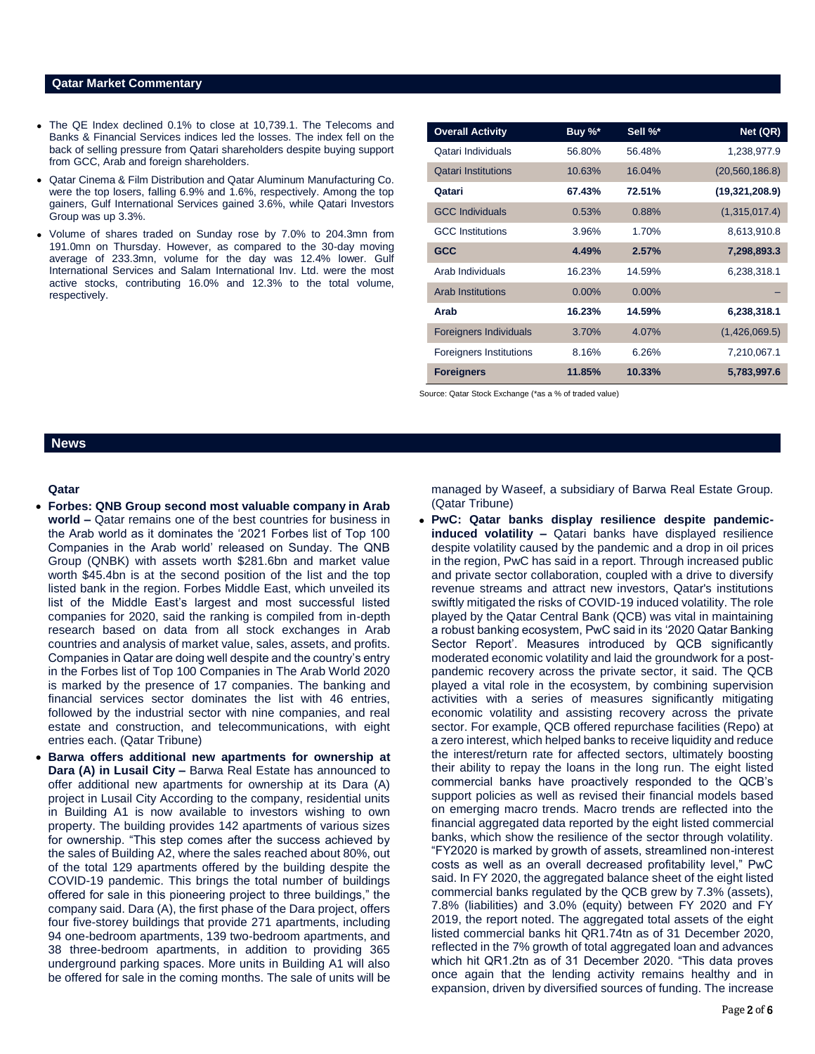#### **Qatar Market Commentary**

- The QE Index declined 0.1% to close at 10,739.1. The Telecoms and Banks & Financial Services indices led the losses. The index fell on the back of selling pressure from Qatari shareholders despite buying support from GCC, Arab and foreign shareholders.
- Qatar Cinema & Film Distribution and Qatar Aluminum Manufacturing Co. were the top losers, falling 6.9% and 1.6%, respectively. Among the top gainers, Gulf International Services gained 3.6%, while Qatari Investors Group was up 3.3%.
- Volume of shares traded on Sunday rose by 7.0% to 204.3mn from 191.0mn on Thursday. However, as compared to the 30-day moving average of 233.3mn, volume for the day was 12.4% lower. Gulf International Services and Salam International Inv. Ltd. were the most active stocks, contributing 16.0% and 12.3% to the total volume, respectively.

| <b>Overall Activity</b>        | Buy %*   | Sell %*  | Net (QR)         |
|--------------------------------|----------|----------|------------------|
| Qatari Individuals             | 56.80%   | 56.48%   | 1,238,977.9      |
| <b>Qatari Institutions</b>     | 10.63%   | 16.04%   | (20, 560, 186.8) |
| Qatari                         | 67.43%   | 72.51%   | (19,321,208.9)   |
| <b>GCC Individuals</b>         | 0.53%    | 0.88%    | (1,315,017.4)    |
| <b>GCC</b> Institutions        | 3.96%    | 1.70%    | 8,613,910.8      |
| <b>GCC</b>                     | 4.49%    | 2.57%    | 7,298,893.3      |
| Arab Individuals               | 16.23%   | 14.59%   | 6,238,318.1      |
| <b>Arab Institutions</b>       | $0.00\%$ | $0.00\%$ |                  |
| Arab                           | 16.23%   | 14.59%   | 6,238,318.1      |
| <b>Foreigners Individuals</b>  | 3.70%    | 4.07%    | (1,426,069.5)    |
| <b>Foreigners Institutions</b> | 8.16%    | 6.26%    | 7,210,067.1      |
| <b>Foreigners</b>              | 11.85%   | 10.33%   | 5,783,997.6      |

Source: Qatar Stock Exchange (\*as a % of traded value)

### **News**

#### **Qatar**

- **Forbes: QNB Group second most valuable company in Arab world –** Qatar remains one of the best countries for business in the Arab world as it dominates the '2021 Forbes list of Top 100 Companies in the Arab world' released on Sunday. The QNB Group (QNBK) with assets worth \$281.6bn and market value worth \$45.4bn is at the second position of the list and the top listed bank in the region. Forbes Middle East, which unveiled its list of the Middle East's largest and most successful listed companies for 2020, said the ranking is compiled from in-depth research based on data from all stock exchanges in Arab countries and analysis of market value, sales, assets, and profits. Companies in Qatar are doing well despite and the country's entry in the Forbes list of Top 100 Companies in The Arab World 2020 is marked by the presence of 17 companies. The banking and financial services sector dominates the list with 46 entries, followed by the industrial sector with nine companies, and real estate and construction, and telecommunications, with eight entries each. (Qatar Tribune)
- **Barwa offers additional new apartments for ownership at Dara (A) in Lusail City –** Barwa Real Estate has announced to offer additional new apartments for ownership at its Dara (A) project in Lusail City According to the company, residential units in Building A1 is now available to investors wishing to own property. The building provides 142 apartments of various sizes for ownership. "This step comes after the success achieved by the sales of Building A2, where the sales reached about 80%, out of the total 129 apartments offered by the building despite the COVID-19 pandemic. This brings the total number of buildings offered for sale in this pioneering project to three buildings," the company said. Dara (A), the first phase of the Dara project, offers four five-storey buildings that provide 271 apartments, including 94 one-bedroom apartments, 139 two-bedroom apartments, and 38 three-bedroom apartments, in addition to providing 365 underground parking spaces. More units in Building A1 will also be offered for sale in the coming months. The sale of units will be

managed by Waseef, a subsidiary of Barwa Real Estate Group. (Qatar Tribune)

 **PwC: Qatar banks display resilience despite pandemicinduced volatility –** Qatari banks have displayed resilience despite volatility caused by the pandemic and a drop in oil prices in the region, PwC has said in a report. Through increased public and private sector collaboration, coupled with a drive to diversify revenue streams and attract new investors, Qatar's institutions swiftly mitigated the risks of COVID-19 induced volatility. The role played by the Qatar Central Bank (QCB) was vital in maintaining a robust banking ecosystem, PwC said in its '2020 Qatar Banking Sector Report'. Measures introduced by QCB significantly moderated economic volatility and laid the groundwork for a postpandemic recovery across the private sector, it said. The QCB played a vital role in the ecosystem, by combining supervision activities with a series of measures significantly mitigating economic volatility and assisting recovery across the private sector. For example, QCB offered repurchase facilities (Repo) at a zero interest, which helped banks to receive liquidity and reduce the interest/return rate for affected sectors, ultimately boosting their ability to repay the loans in the long run. The eight listed commercial banks have proactively responded to the QCB's support policies as well as revised their financial models based on emerging macro trends. Macro trends are reflected into the financial aggregated data reported by the eight listed commercial banks, which show the resilience of the sector through volatility. "FY2020 is marked by growth of assets, streamlined non-interest costs as well as an overall decreased profitability level," PwC said. In FY 2020, the aggregated balance sheet of the eight listed commercial banks regulated by the QCB grew by 7.3% (assets), 7.8% (liabilities) and 3.0% (equity) between FY 2020 and FY 2019, the report noted. The aggregated total assets of the eight listed commercial banks hit QR1.74tn as of 31 December 2020, reflected in the 7% growth of total aggregated loan and advances which hit QR1.2tn as of 31 December 2020. "This data proves once again that the lending activity remains healthy and in expansion, driven by diversified sources of funding. The increase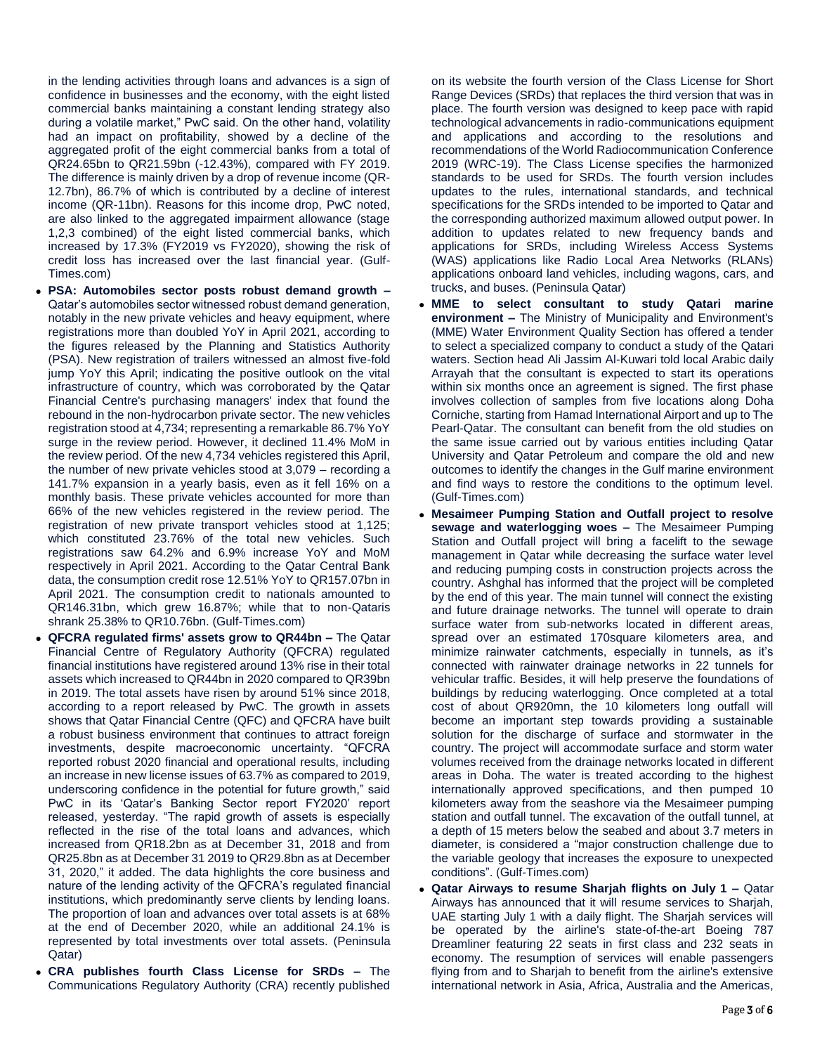in the lending activities through loans and advances is a sign of confidence in businesses and the economy, with the eight listed commercial banks maintaining a constant lending strategy also during a volatile market," PwC said. On the other hand, volatility had an impact on profitability, showed by a decline of the aggregated profit of the eight commercial banks from a total of QR24.65bn to QR21.59bn (-12.43%), compared with FY 2019. The difference is mainly driven by a drop of revenue income (QR-12.7bn), 86.7% of which is contributed by a decline of interest income (QR-11bn). Reasons for this income drop, PwC noted, are also linked to the aggregated impairment allowance (stage 1,2,3 combined) of the eight listed commercial banks, which increased by 17.3% (FY2019 vs FY2020), showing the risk of credit loss has increased over the last financial year. (Gulf-Times.com)

- **PSA: Automobiles sector posts robust demand growth –** Qatar's automobiles sector witnessed robust demand generation, notably in the new private vehicles and heavy equipment, where registrations more than doubled YoY in April 2021, according to the figures released by the Planning and Statistics Authority (PSA). New registration of trailers witnessed an almost five-fold jump YoY this April; indicating the positive outlook on the vital infrastructure of country, which was corroborated by the Qatar Financial Centre's purchasing managers' index that found the rebound in the non-hydrocarbon private sector. The new vehicles registration stood at 4,734; representing a remarkable 86.7% YoY surge in the review period. However, it declined 11.4% MoM in the review period. Of the new 4,734 vehicles registered this April, the number of new private vehicles stood at 3,079 – recording a 141.7% expansion in a yearly basis, even as it fell 16% on a monthly basis. These private vehicles accounted for more than 66% of the new vehicles registered in the review period. The registration of new private transport vehicles stood at 1,125; which constituted 23.76% of the total new vehicles. Such registrations saw 64.2% and 6.9% increase YoY and MoM respectively in April 2021. According to the Qatar Central Bank data, the consumption credit rose 12.51% YoY to QR157.07bn in April 2021. The consumption credit to nationals amounted to QR146.31bn, which grew 16.87%; while that to non-Qataris shrank 25.38% to QR10.76bn. (Gulf-Times.com)
- **QFCRA regulated firms' assets grow to QR44bn –** The Qatar Financial Centre of Regulatory Authority (QFCRA) regulated financial institutions have registered around 13% rise in their total assets which increased to QR44bn in 2020 compared to QR39bn in 2019. The total assets have risen by around 51% since 2018, according to a report released by PwC. The growth in assets shows that Qatar Financial Centre (QFC) and QFCRA have built a robust business environment that continues to attract foreign investments, despite macroeconomic uncertainty. "QFCRA reported robust 2020 financial and operational results, including an increase in new license issues of 63.7% as compared to 2019, underscoring confidence in the potential for future growth," said PwC in its 'Qatar's Banking Sector report FY2020' report released, yesterday. "The rapid growth of assets is especially reflected in the rise of the total loans and advances, which increased from QR18.2bn as at December 31, 2018 and from QR25.8bn as at December 31 2019 to QR29.8bn as at December 31, 2020," it added. The data highlights the core business and nature of the lending activity of the QFCRA's regulated financial institutions, which predominantly serve clients by lending loans. The proportion of loan and advances over total assets is at 68% at the end of December 2020, while an additional 24.1% is represented by total investments over total assets. (Peninsula Qatar)
- **CRA publishes fourth Class License for SRDs –** The Communications Regulatory Authority (CRA) recently published

on its website the fourth version of the Class License for Short Range Devices (SRDs) that replaces the third version that was in place. The fourth version was designed to keep pace with rapid technological advancements in radio-communications equipment and applications and according to the resolutions and recommendations of the World Radiocommunication Conference 2019 (WRC-19). The Class License specifies the harmonized standards to be used for SRDs. The fourth version includes updates to the rules, international standards, and technical specifications for the SRDs intended to be imported to Qatar and the corresponding authorized maximum allowed output power. In addition to updates related to new frequency bands and applications for SRDs, including Wireless Access Systems (WAS) applications like Radio Local Area Networks (RLANs) applications onboard land vehicles, including wagons, cars, and trucks, and buses. (Peninsula Qatar)

- **MME to select consultant to study Qatari marine environment –** The Ministry of Municipality and Environment's (MME) Water Environment Quality Section has offered a tender to select a specialized company to conduct a study of the Qatari waters. Section head Ali Jassim Al-Kuwari told local Arabic daily Arrayah that the consultant is expected to start its operations within six months once an agreement is signed. The first phase involves collection of samples from five locations along Doha Corniche, starting from Hamad International Airport and up to The Pearl-Qatar. The consultant can benefit from the old studies on the same issue carried out by various entities including Qatar University and Qatar Petroleum and compare the old and new outcomes to identify the changes in the Gulf marine environment and find ways to restore the conditions to the optimum level. (Gulf-Times.com)
- **Mesaimeer Pumping Station and Outfall project to resolve sewage and waterlogging woes –** The Mesaimeer Pumping Station and Outfall project will bring a facelift to the sewage management in Qatar while decreasing the surface water level and reducing pumping costs in construction projects across the country. Ashghal has informed that the project will be completed by the end of this year. The main tunnel will connect the existing and future drainage networks. The tunnel will operate to drain surface water from sub-networks located in different areas, spread over an estimated 170square kilometers area, and minimize rainwater catchments, especially in tunnels, as it's connected with rainwater drainage networks in 22 tunnels for vehicular traffic. Besides, it will help preserve the foundations of buildings by reducing waterlogging. Once completed at a total cost of about QR920mn, the 10 kilometers long outfall will become an important step towards providing a sustainable solution for the discharge of surface and stormwater in the country. The project will accommodate surface and storm water volumes received from the drainage networks located in different areas in Doha. The water is treated according to the highest internationally approved specifications, and then pumped 10 kilometers away from the seashore via the Mesaimeer pumping station and outfall tunnel. The excavation of the outfall tunnel, at a depth of 15 meters below the seabed and about 3.7 meters in diameter, is considered a "major construction challenge due to the variable geology that increases the exposure to unexpected conditions". (Gulf-Times.com)
- **Qatar Airways to resume Sharjah flights on July 1 –** Qatar Airways has announced that it will resume services to Sharjah, UAE starting July 1 with a daily flight. The Sharjah services will be operated by the airline's state-of-the-art Boeing 787 Dreamliner featuring 22 seats in first class and 232 seats in economy. The resumption of services will enable passengers flying from and to Sharjah to benefit from the airline's extensive international network in Asia, Africa, Australia and the Americas,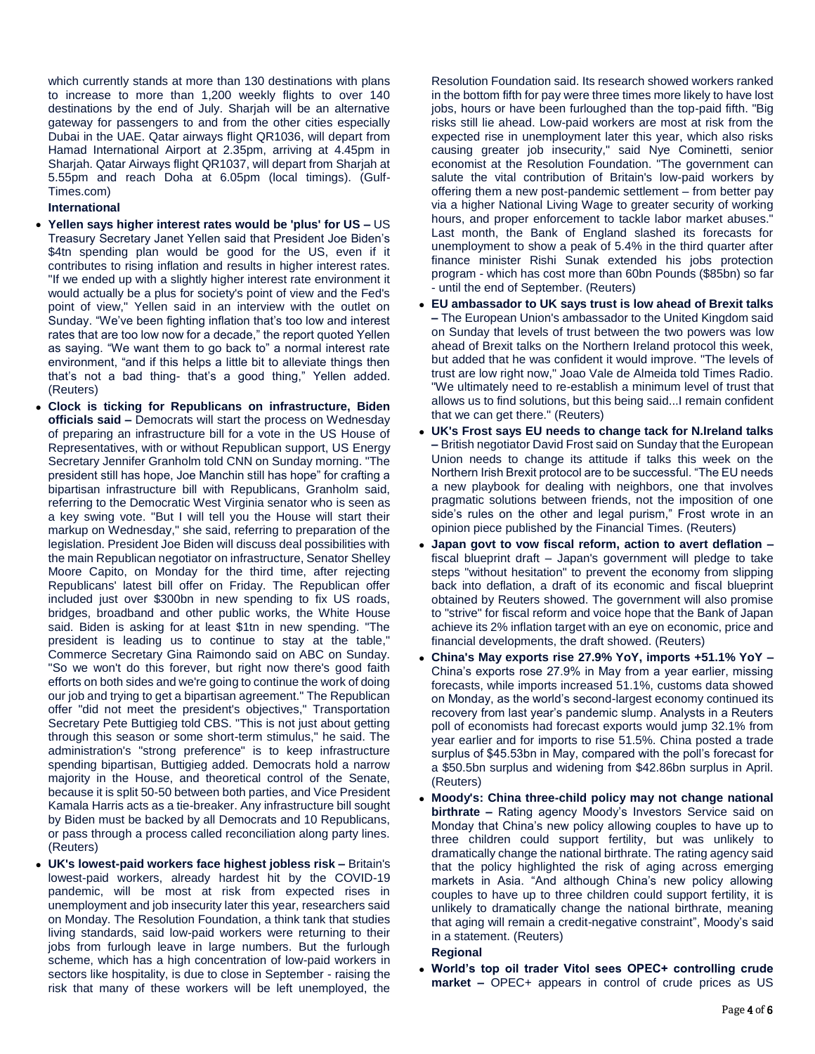which currently stands at more than 130 destinations with plans to increase to more than 1,200 weekly flights to over 140 destinations by the end of July. Sharjah will be an alternative gateway for passengers to and from the other cities especially Dubai in the UAE. Qatar airways flight QR1036, will depart from Hamad International Airport at 2.35pm, arriving at 4.45pm in Sharjah. Qatar Airways flight QR1037, will depart from Sharjah at 5.55pm and reach Doha at 6.05pm (local timings). (Gulf-Times.com)

#### **International**

- **Yellen says higher interest rates would be 'plus' for US –** US Treasury Secretary Janet Yellen said that President Joe Biden's \$4tn spending plan would be good for the US, even if it contributes to rising inflation and results in higher interest rates. "If we ended up with a slightly higher interest rate environment it would actually be a plus for society's point of view and the Fed's point of view," Yellen said in an interview with the outlet on Sunday. "We've been fighting inflation that's too low and interest rates that are too low now for a decade," the report quoted Yellen as saying. "We want them to go back to" a normal interest rate environment, "and if this helps a little bit to alleviate things then that's not a bad thing- that's a good thing," Yellen added. (Reuters)
- **Clock is ticking for Republicans on infrastructure, Biden officials said –** Democrats will start the process on Wednesday of preparing an infrastructure bill for a vote in the US House of Representatives, with or without Republican support, US Energy Secretary Jennifer Granholm told CNN on Sunday morning. "The president still has hope, Joe Manchin still has hope" for crafting a bipartisan infrastructure bill with Republicans, Granholm said, referring to the Democratic West Virginia senator who is seen as a key swing vote. "But I will tell you the House will start their markup on Wednesday," she said, referring to preparation of the legislation. President Joe Biden will discuss deal possibilities with the main Republican negotiator on infrastructure, Senator Shelley Moore Capito, on Monday for the third time, after rejecting Republicans' latest bill offer on Friday. The Republican offer included just over \$300bn in new spending to fix US roads, bridges, broadband and other public works, the White House said. Biden is asking for at least \$1tn in new spending. "The president is leading us to continue to stay at the table," Commerce Secretary Gina Raimondo said on ABC on Sunday. "So we won't do this forever, but right now there's good faith efforts on both sides and we're going to continue the work of doing our job and trying to get a bipartisan agreement." The Republican offer "did not meet the president's objectives," Transportation Secretary Pete Buttigieg told CBS. "This is not just about getting through this season or some short-term stimulus," he said. The administration's "strong preference" is to keep infrastructure spending bipartisan, Buttigieg added. Democrats hold a narrow majority in the House, and theoretical control of the Senate, because it is split 50-50 between both parties, and Vice President Kamala Harris acts as a tie-breaker. Any infrastructure bill sought by Biden must be backed by all Democrats and 10 Republicans, or pass through a process called reconciliation along party lines. (Reuters)
- **UK's lowest-paid workers face highest jobless risk –** Britain's lowest-paid workers, already hardest hit by the COVID-19 pandemic, will be most at risk from expected rises in unemployment and job insecurity later this year, researchers said on Monday. The Resolution Foundation, a think tank that studies living standards, said low-paid workers were returning to their jobs from furlough leave in large numbers. But the furlough scheme, which has a high concentration of low-paid workers in sectors like hospitality, is due to close in September - raising the risk that many of these workers will be left unemployed, the

Resolution Foundation said. Its research showed workers ranked in the bottom fifth for pay were three times more likely to have lost jobs, hours or have been furloughed than the top-paid fifth. "Big risks still lie ahead. Low-paid workers are most at risk from the expected rise in unemployment later this year, which also risks causing greater job insecurity," said Nye Cominetti, senior economist at the Resolution Foundation. "The government can salute the vital contribution of Britain's low-paid workers by offering them a new post-pandemic settlement – from better pay via a higher National Living Wage to greater security of working hours, and proper enforcement to tackle labor market abuses." Last month, the Bank of England slashed its forecasts for unemployment to show a peak of 5.4% in the third quarter after finance minister Rishi Sunak extended his jobs protection program - which has cost more than 60bn Pounds (\$85bn) so far - until the end of September. (Reuters)

- **EU ambassador to UK says trust is low ahead of Brexit talks –** The European Union's ambassador to the United Kingdom said on Sunday that levels of trust between the two powers was low ahead of Brexit talks on the Northern Ireland protocol this week, but added that he was confident it would improve. "The levels of trust are low right now," Joao Vale de Almeida told Times Radio. "We ultimately need to re-establish a minimum level of trust that allows us to find solutions, but this being said...I remain confident that we can get there." (Reuters)
- **UK's Frost says EU needs to change tack for N.Ireland talks –** British negotiator David Frost said on Sunday that the European Union needs to change its attitude if talks this week on the Northern Irish Brexit protocol are to be successful. "The EU needs a new playbook for dealing with neighbors, one that involves pragmatic solutions between friends, not the imposition of one side's rules on the other and legal purism," Frost wrote in an opinion piece published by the Financial Times. (Reuters)
- **Japan govt to vow fiscal reform, action to avert deflation –** fiscal blueprint draft – Japan's government will pledge to take steps "without hesitation" to prevent the economy from slipping back into deflation, a draft of its economic and fiscal blueprint obtained by Reuters showed. The government will also promise to "strive" for fiscal reform and voice hope that the Bank of Japan achieve its 2% inflation target with an eye on economic, price and financial developments, the draft showed. (Reuters)
- **China's May exports rise 27.9% YoY, imports +51.1% YoY –** China's exports rose 27.9% in May from a year earlier, missing forecasts, while imports increased 51.1%, customs data showed on Monday, as the world's second-largest economy continued its recovery from last year's pandemic slump. Analysts in a Reuters poll of economists had forecast exports would jump 32.1% from year earlier and for imports to rise 51.5%. China posted a trade surplus of \$45.53bn in May, compared with the poll's forecast for a \$50.5bn surplus and widening from \$42.86bn surplus in April. (Reuters)
- **Moody's: China three-child policy may not change national birthrate –** Rating agency Moody's Investors Service said on Monday that China's new policy allowing couples to have up to three children could support fertility, but was unlikely to dramatically change the national birthrate. The rating agency said that the policy highlighted the risk of aging across emerging markets in Asia. "And although China's new policy allowing couples to have up to three children could support fertility, it is unlikely to dramatically change the national birthrate, meaning that aging will remain a credit-negative constraint", Moody's said in a statement. (Reuters)

### **Regional**

 **World's top oil trader Vitol sees OPEC+ controlling crude market –** OPEC+ appears in control of crude prices as US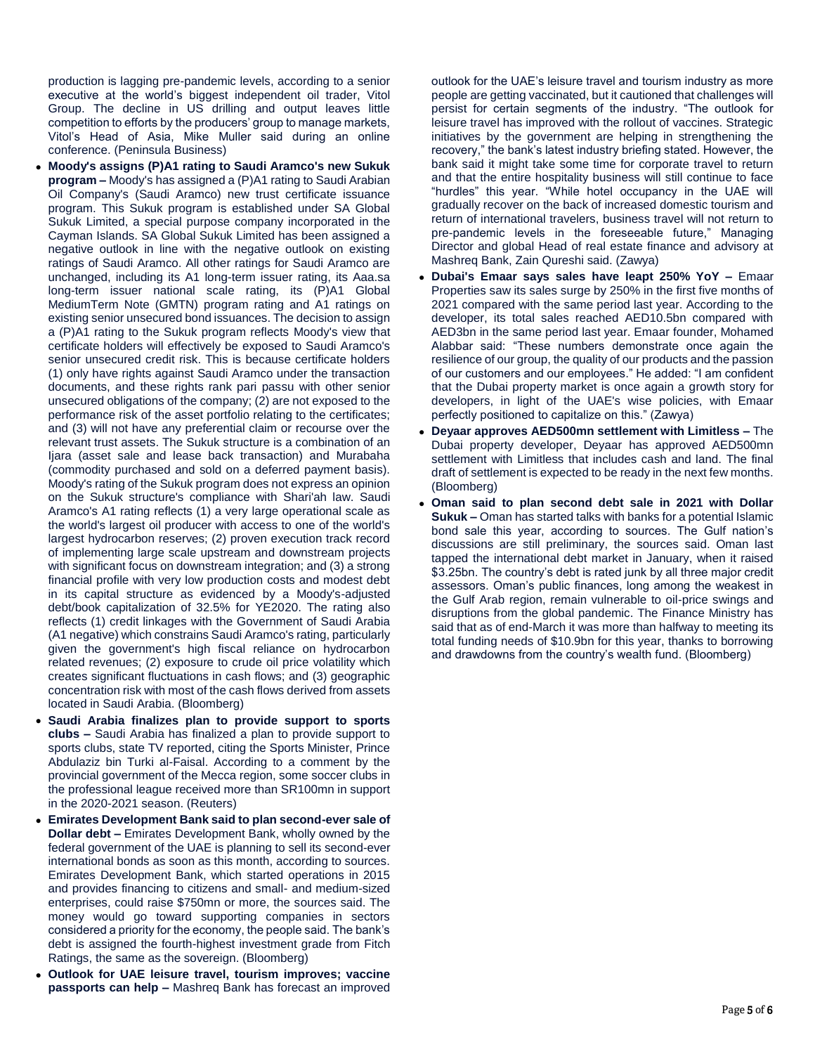production is lagging pre-pandemic levels, according to a senior executive at the world's biggest independent oil trader, Vitol Group. The decline in US drilling and output leaves little competition to efforts by the producers' group to manage markets, Vitol's Head of Asia, Mike Muller said during an online conference. (Peninsula Business)

- **Moody's assigns (P)A1 rating to Saudi Aramco's new Sukuk program –** Moody's has assigned a (P)A1 rating to Saudi Arabian Oil Company's (Saudi Aramco) new trust certificate issuance program. This Sukuk program is established under SA Global Sukuk Limited, a special purpose company incorporated in the Cayman Islands. SA Global Sukuk Limited has been assigned a negative outlook in line with the negative outlook on existing ratings of Saudi Aramco. All other ratings for Saudi Aramco are unchanged, including its A1 long-term issuer rating, its Aaa.sa long-term issuer national scale rating, its (P)A1 Global MediumTerm Note (GMTN) program rating and A1 ratings on existing senior unsecured bond issuances. The decision to assign a (P)A1 rating to the Sukuk program reflects Moody's view that certificate holders will effectively be exposed to Saudi Aramco's senior unsecured credit risk. This is because certificate holders (1) only have rights against Saudi Aramco under the transaction documents, and these rights rank pari passu with other senior unsecured obligations of the company; (2) are not exposed to the performance risk of the asset portfolio relating to the certificates; and (3) will not have any preferential claim or recourse over the relevant trust assets. The Sukuk structure is a combination of an Ijara (asset sale and lease back transaction) and Murabaha (commodity purchased and sold on a deferred payment basis). Moody's rating of the Sukuk program does not express an opinion on the Sukuk structure's compliance with Shari'ah law. Saudi Aramco's A1 rating reflects (1) a very large operational scale as the world's largest oil producer with access to one of the world's largest hydrocarbon reserves; (2) proven execution track record of implementing large scale upstream and downstream projects with significant focus on downstream integration; and (3) a strong financial profile with very low production costs and modest debt in its capital structure as evidenced by a Moody's-adjusted debt/book capitalization of 32.5% for YE2020. The rating also reflects (1) credit linkages with the Government of Saudi Arabia (A1 negative) which constrains Saudi Aramco's rating, particularly given the government's high fiscal reliance on hydrocarbon related revenues; (2) exposure to crude oil price volatility which creates significant fluctuations in cash flows; and (3) geographic concentration risk with most of the cash flows derived from assets located in Saudi Arabia. (Bloomberg)
- **Saudi Arabia finalizes plan to provide support to sports clubs –** Saudi Arabia has finalized a plan to provide support to sports clubs, state TV reported, citing the Sports Minister, Prince Abdulaziz bin Turki al-Faisal. According to a comment by the provincial government of the Mecca region, some soccer clubs in the professional league received more than SR100mn in support in the 2020-2021 season. (Reuters)
- **Emirates Development Bank said to plan second-ever sale of Dollar debt –** Emirates Development Bank, wholly owned by the federal government of the UAE is planning to sell its second-ever international bonds as soon as this month, according to sources. Emirates Development Bank, which started operations in 2015 and provides financing to citizens and small- and medium-sized enterprises, could raise \$750mn or more, the sources said. The money would go toward supporting companies in sectors considered a priority for the economy, the people said. The bank's debt is assigned the fourth-highest investment grade from Fitch Ratings, the same as the sovereign. (Bloomberg)
- **Outlook for UAE leisure travel, tourism improves; vaccine passports can help –** Mashreq Bank has forecast an improved

outlook for the UAE's leisure travel and tourism industry as more people are getting vaccinated, but it cautioned that challenges will persist for certain segments of the industry. "The outlook for leisure travel has improved with the rollout of vaccines. Strategic initiatives by the government are helping in strengthening the recovery," the bank's latest industry briefing stated. However, the bank said it might take some time for corporate travel to return and that the entire hospitality business will still continue to face "hurdles" this year. "While hotel occupancy in the UAE will gradually recover on the back of increased domestic tourism and return of international travelers, business travel will not return to pre-pandemic levels in the foreseeable future," Managing Director and global Head of real estate finance and advisory at Mashreq Bank, Zain Qureshi said. (Zawya)

- **Dubai's Emaar says sales have leapt 250% YoY –** Emaar Properties saw its sales surge by 250% in the first five months of 2021 compared with the same period last year. According to the developer, its total sales reached AED10.5bn compared with AED3bn in the same period last year. Emaar founder, Mohamed Alabbar said: "These numbers demonstrate once again the resilience of our group, the quality of our products and the passion of our customers and our employees." He added: "I am confident that the Dubai property market is once again a growth story for developers, in light of the UAE's wise policies, with Emaar perfectly positioned to capitalize on this." (Zawya)
- **Deyaar approves AED500mn settlement with Limitless –** The Dubai property developer, Deyaar has approved AED500mn settlement with Limitless that includes cash and land. The final draft of settlement is expected to be ready in the next few months. (Bloomberg)
- **Oman said to plan second debt sale in 2021 with Dollar Sukuk –** Oman has started talks with banks for a potential Islamic bond sale this year, according to sources. The Gulf nation's discussions are still preliminary, the sources said. Oman last tapped the international debt market in January, when it raised \$3.25bn. The country's debt is rated junk by all three major credit assessors. Oman's public finances, long among the weakest in the Gulf Arab region, remain vulnerable to oil-price swings and disruptions from the global pandemic. The Finance Ministry has said that as of end-March it was more than halfway to meeting its total funding needs of \$10.9bn for this year, thanks to borrowing and drawdowns from the country's wealth fund. (Bloomberg)